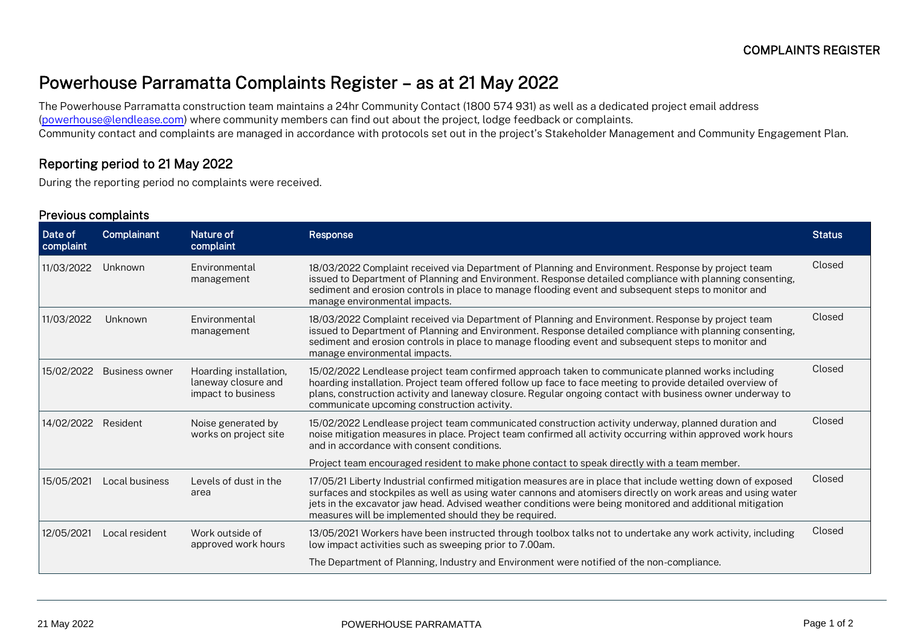## Powerhouse Parramatta Complaints Register – as at 21 May 2022

The Powerhouse Parramatta construction team maintains a 24hr Community Contact (1800 574 931) as well as a dedicated project email address [\(powerhouse@lendlease.com\)](mailto:powerhouse@lendlease.com) where community members can find out about the project, lodge feedback or complaints. Community contact and complaints are managed in accordance with protocols set out in the project's Stakeholder Management and Community Engagement Plan.

## Reporting period to 21 May 2022

During the reporting period no complaints were received.

## Previous complaints

| Date of<br>complaint | Complainant           | Nature of<br>complaint                                              | Response                                                                                                                                                                                                                                                                                                                                                                                         | <b>Status</b> |
|----------------------|-----------------------|---------------------------------------------------------------------|--------------------------------------------------------------------------------------------------------------------------------------------------------------------------------------------------------------------------------------------------------------------------------------------------------------------------------------------------------------------------------------------------|---------------|
| 11/03/2022           | Unknown               | <b>Environmental</b><br>management                                  | 18/03/2022 Complaint received via Department of Planning and Environment. Response by project team<br>issued to Department of Planning and Environment. Response detailed compliance with planning consenting,<br>sediment and erosion controls in place to manage flooding event and subsequent steps to monitor and<br>manage environmental impacts.                                           | Closed        |
| 11/03/2022           | Unknown               | <b>Environmental</b><br>management                                  | 18/03/2022 Complaint received via Department of Planning and Environment. Response by project team<br>issued to Department of Planning and Environment. Response detailed compliance with planning consenting,<br>sediment and erosion controls in place to manage flooding event and subsequent steps to monitor and<br>manage environmental impacts.                                           | Closed        |
| 15/02/2022           | <b>Business owner</b> | Hoarding installation,<br>laneway closure and<br>impact to business | 15/02/2022 Lendlease project team confirmed approach taken to communicate planned works including<br>hoarding installation. Project team offered follow up face to face meeting to provide detailed overview of<br>plans, construction activity and laneway closure. Regular ongoing contact with business owner underway to<br>communicate upcoming construction activity.                      | Closed        |
| 14/02/2022           | Resident              | Noise generated by<br>works on project site                         | 15/02/2022 Lendlease project team communicated construction activity underway, planned duration and<br>noise mitigation measures in place. Project team confirmed all activity occurring within approved work hours<br>and in accordance with consent conditions.                                                                                                                                | Closed        |
|                      |                       |                                                                     | Project team encouraged resident to make phone contact to speak directly with a team member.                                                                                                                                                                                                                                                                                                     |               |
| 15/05/2021           | Local business        | Levels of dust in the<br>area                                       | 17/05/21 Liberty Industrial confirmed mitigation measures are in place that include wetting down of exposed<br>surfaces and stockpiles as well as using water cannons and atomisers directly on work areas and using water<br>jets in the excavator jaw head. Advised weather conditions were being monitored and additional mitigation<br>measures will be implemented should they be required. | Closed        |
| 12/05/2021           | Local resident        | Work outside of<br>approved work hours                              | 13/05/2021 Workers have been instructed through toolbox talks not to undertake any work activity, including<br>low impact activities such as sweeping prior to 7.00am.                                                                                                                                                                                                                           | Closed        |
|                      |                       |                                                                     | The Department of Planning, Industry and Environment were notified of the non-compliance.                                                                                                                                                                                                                                                                                                        |               |